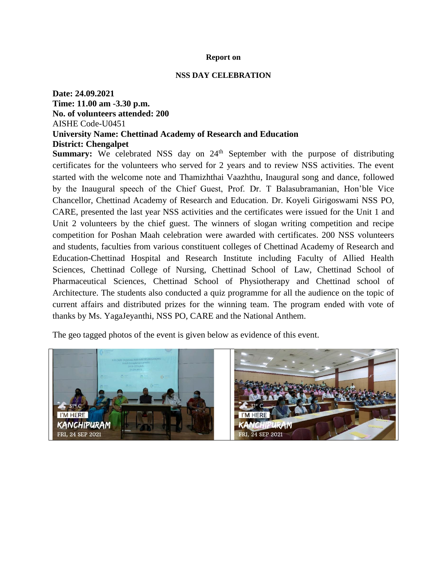## **Report on**

## **NSS DAY CELEBRATION**

**Date: 24.09.2021 Time: 11.00 am -3.30 p.m. No. of volunteers attended: 200** AISHE Code-U0451 **University Name: Chettinad Academy of Research and Education District: Chengalpet**

**Summary:** We celebrated NSS day on 24<sup>th</sup> September with the purpose of distributing certificates for the volunteers who served for 2 years and to review NSS activities. The event started with the welcome note and Thamizhthai Vaazhthu, Inaugural song and dance, followed by the Inaugural speech of the Chief Guest, Prof. Dr. T Balasubramanian, Hon'ble Vice Chancellor, Chettinad Academy of Research and Education. Dr. Koyeli Girigoswami NSS PO, CARE, presented the last year NSS activities and the certificates were issued for the Unit 1 and Unit 2 volunteers by the chief guest. The winners of slogan writing competition and recipe competition for Poshan Maah celebration were awarded with certificates. 200 NSS volunteers and students, faculties from various constituent colleges of Chettinad Academy of Research and Education-Chettinad Hospital and Research Institute including Faculty of Allied Health Sciences, Chettinad College of Nursing, Chettinad School of Law, Chettinad School of Pharmaceutical Sciences, Chettinad School of Physiotherapy and Chettinad school of Architecture. The students also conducted a quiz programme for all the audience on the topic of current affairs and distributed prizes for the winning team. The program ended with vote of thanks by Ms. YagaJeyanthi, NSS PO, CARE and the National Anthem.

The geo tagged photos of the event is given below as evidence of this event.

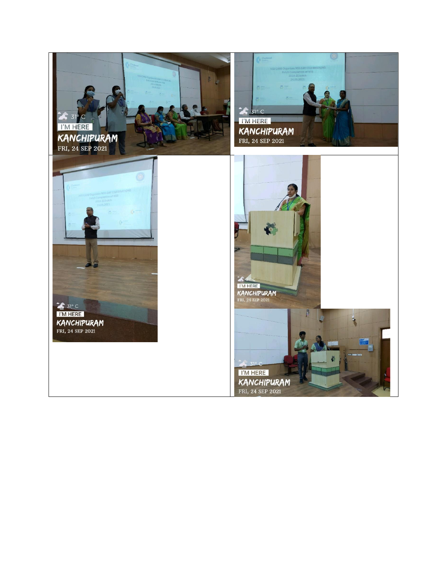